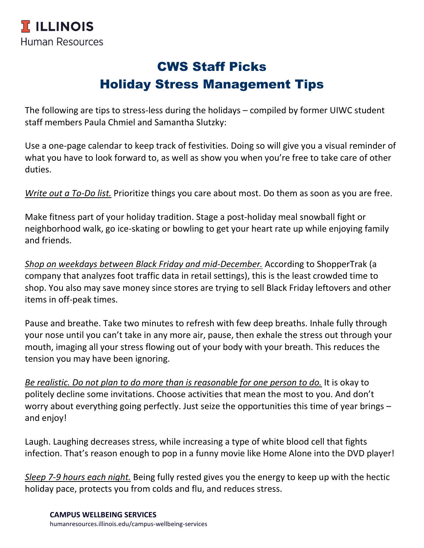## CWS Staff Picks Holiday Stress Management Tips

The following are tips to stress-less during the holidays – compiled by former UIWC student staff members Paula Chmiel and Samantha Slutzky:

Use a one-page calendar to keep track of festivities. Doing so will give you a visual reminder of what you have to look forward to, as well as show you when you're free to take care of other duties.

*Write out a To-Do list.* Prioritize things you care about most. Do them as soon as you are free.

Make fitness part of your holiday tradition. Stage a post-holiday meal snowball fight or neighborhood walk, go ice-skating or bowling to get your heart rate up while enjoying family and friends.

*Shop on weekdays between Black Friday and mid-December.* According to ShopperTrak (a company that analyzes foot traffic data in retail settings), this is the least crowded time to shop. You also may save money since stores are trying to sell Black Friday leftovers and other items in off-peak times.

Pause and breathe. Take two minutes to refresh with few deep breaths. Inhale fully through your nose until you can't take in any more air, pause, then exhale the stress out through your mouth, imaging all your stress flowing out of your body with your breath. This reduces the tension you may have been ignoring.

*Be realistic. Do not plan to do more than is reasonable for one person to do.* It is okay to politely decline some invitations. Choose activities that mean the most to you. And don't worry about everything going perfectly. Just seize the opportunities this time of year brings – and enjoy!

Laugh. Laughing decreases stress, while increasing a type of white blood cell that fights infection. That's reason enough to pop in a funny movie like Home Alone into the DVD player!

*Sleep 7-9 hours each night.* Being fully rested gives you the energy to keep up with the hectic holiday pace, protects you from colds and flu, and reduces stress.